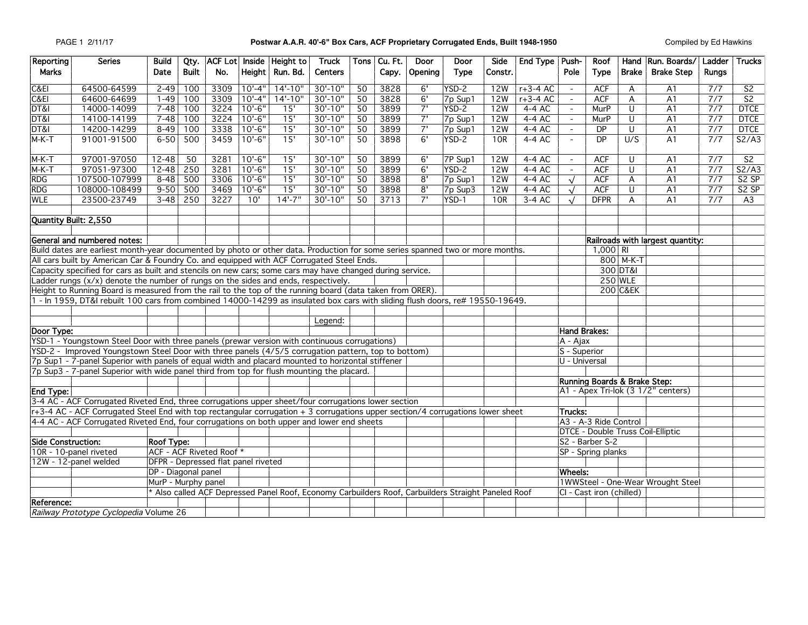## PAGE 1 2/11/17 **Postwar A.A.R. 40'-6" Box Cars, ACF Proprietary Corrugated Ends, Built 1948-1950** Compiled by Ed Hawkins

| Reporting                                                                                                                                                                                         | <b>Series</b>                                                                                                                                                                                                             | Build                                                                                               | Qty.                     |                                     |             | ACF Lot Inside Height to | Truck          |                 | Tons   Cu. Ft.                     | Door                         | Door               | <b>Side</b>    | End Type   Push-         |                                   | Roof                  |              | Hand Run. Boards/                 | Ladder           | <b>Trucks</b>            |
|---------------------------------------------------------------------------------------------------------------------------------------------------------------------------------------------------|---------------------------------------------------------------------------------------------------------------------------------------------------------------------------------------------------------------------------|-----------------------------------------------------------------------------------------------------|--------------------------|-------------------------------------|-------------|--------------------------|----------------|-----------------|------------------------------------|------------------------------|--------------------|----------------|--------------------------|-----------------------------------|-----------------------|--------------|-----------------------------------|------------------|--------------------------|
| <b>Marks</b>                                                                                                                                                                                      |                                                                                                                                                                                                                           | Date                                                                                                | <b>Built</b>             | No.                                 |             | Height   Run. Bd.        | <b>Centers</b> |                 | Capy.                              | Opening                      | <b>Type</b>        | Constr.        |                          | Pole                              | <b>Type</b>           | <b>Brake</b> | <b>Brake Step</b>                 | <b>Runas</b>     |                          |
| C&EI                                                                                                                                                                                              | 64500-64599                                                                                                                                                                                                               | $2 - 49$                                                                                            | 100                      | 3309                                | $10' - 4''$ | $14' - 10''$             | $30' - 10''$   | $\overline{50}$ | 3828                               | 6'                           | $YSD-2$            | 12W            | $r+3-4$ AC               | $\overline{\phantom{a}}$          | <b>ACF</b>            | A            | A1                                | $\overline{7/7}$ | $\overline{\mathsf{S2}}$ |
| C&E                                                                                                                                                                                               | 64600-64699                                                                                                                                                                                                               | $1 - 49$                                                                                            | 100                      | 3309                                | $10'-4$ "   | $14' - 10''$             | $30' - 10''$   | 50              | 3828                               | 6'                           | 7p Sup1            | 12W            | $r+3-4$ AC               | $\overline{\phantom{a}}$          | ACF                   | A            | A1                                | 7/7              | S <sub>2</sub>           |
| DT&I                                                                                                                                                                                              | 14000-14099                                                                                                                                                                                                               | $7 - 48$                                                                                            | 100                      | 3224                                | $10'-6$     | 15'                      | $30' - 10'$    | 50              | 3899                               | 7'                           | YSD-2              | <b>12W</b>     | 4-4 AC                   | $\overline{\phantom{a}}$          | MurP                  | U            | A <sub>1</sub>                    | 7/7              | <b>DTCE</b>              |
| DT&I                                                                                                                                                                                              | 14100-14199                                                                                                                                                                                                               | $7 - 48$                                                                                            | 100                      | 3224                                | $10'-6$     | 15'                      | $30' - 10''$   | 50              | 3899                               | $\overline{7}$               | 7p Sup1            | 12W            | $4-4 AC$                 | $\mathcal{L}^{\pm}$               | MurP                  | U            | A <sub>1</sub>                    | 7/7              | <b>DTCE</b>              |
| DT&I                                                                                                                                                                                              | 14200-14299                                                                                                                                                                                                               | $8 - 49$                                                                                            | 100                      | 3338                                | $10'-6$ "   | 15'                      | 30'-10"        | 50              | 3899                               | 7'                           | 7p Sup1            | 12W            | 4-4 AC                   | $\overline{\phantom{a}}$          | <b>DP</b>             | U            | A <sub>1</sub>                    | 7/7              | <b>DTCE</b>              |
| M-K-T                                                                                                                                                                                             | 91001-91500                                                                                                                                                                                                               | $6 - 50$                                                                                            | 500                      | 3459                                | $10' - 6''$ | 15'                      | $30' - 10''$   | 50              | 3898                               | 6'                           | YSD-2              | 10R            | 4-4 AC                   | $\blacksquare$                    | <b>DP</b>             | U/S          | A <sub>1</sub>                    | 7/7              | S2/AS                    |
| $M-K-T$                                                                                                                                                                                           | 97001-97050                                                                                                                                                                                                               | 12-48                                                                                               | 50                       | 3281                                | $10'-6$     | 15'                      | $30' - 10''$   | 50              | 3899                               | 6'                           | 7P Sup1            | 12W            | $4-4 AC$                 | $\overline{\phantom{a}}$          | ACF                   | U            | A1                                | 7/7              | S <sub>2</sub>           |
| M-K-T                                                                                                                                                                                             | 97051-97300                                                                                                                                                                                                               | $12 - 48$                                                                                           | 250                      | 3281                                | $10'-6$ "   | 15'                      | $30' - 10''$   | 50              | 3899                               | 6'                           | YSD-2              | 12W            | 4-4 AC                   | $\blacksquare$                    | ACF                   | U            | A <sub>1</sub>                    | 7/7              | S2/A3                    |
| <b>RDG</b>                                                                                                                                                                                        | 107500-107999                                                                                                                                                                                                             | $8 - 48$                                                                                            | 500                      | 3306                                | $10'-6$ "   | 15'                      | $30' - 10''$   | 50              | 3898                               | 8'                           | 7p Sup1            | 12W            | 4-4 AC                   | $\sqrt{ }$                        | ACF                   | A            | A <sub>1</sub>                    | $\overline{7/7}$ | S2 SP                    |
| RDG                                                                                                                                                                                               | 108000-108499                                                                                                                                                                                                             | $9 - 50$                                                                                            | 500                      | 3469                                | $10'-6$ "   | 15'                      | $30' - 10''$   | 50              | 3898                               | 8'                           | 7p Sup3            | <b>12W</b>     | 4-4 AC                   | $\sqrt{ }$                        | <b>ACF</b>            | U            | A1                                | 7/7              | S2 SP                    |
| <b>WLE</b>                                                                                                                                                                                        | 23500-23749                                                                                                                                                                                                               | $3 - 48$                                                                                            | 250                      | 3227                                | 10'         | $14' - 7''$              | $30' - 10''$   | 50              | 3713                               | $\overline{7}$               | $YSD-1$            | 10R            | $3-4AC$                  | $\sqrt{ }$                        | <b>DFPR</b>           | A            | A <sub>1</sub>                    | 7/7              | A3                       |
|                                                                                                                                                                                                   |                                                                                                                                                                                                                           |                                                                                                     |                          |                                     |             |                          |                |                 |                                    |                              |                    |                |                          |                                   |                       |              |                                   |                  |                          |
| Quantity Built: 2,550                                                                                                                                                                             |                                                                                                                                                                                                                           |                                                                                                     |                          |                                     |             |                          |                |                 |                                    |                              |                    |                |                          |                                   |                       |              |                                   |                  |                          |
|                                                                                                                                                                                                   | General and numbered notes:                                                                                                                                                                                               |                                                                                                     |                          |                                     |             |                          |                |                 |                                    |                              |                    |                |                          |                                   |                       |              | Railroads with largest quantity:  |                  |                          |
|                                                                                                                                                                                                   | Build dates are earliest month-year documented by photo or other data. Production for some series spanned two or more months.                                                                                             |                                                                                                     |                          |                                     |             |                          |                |                 |                                    |                              |                    |                |                          |                                   | $1,000$ RI            |              |                                   |                  |                          |
|                                                                                                                                                                                                   | All cars built by American Car & Foundry Co. and equipped with ACF Corrugated Steel Ends.                                                                                                                                 |                                                                                                     |                          |                                     |             |                          |                |                 |                                    |                              |                    |                |                          |                                   |                       | 800 M-K-T    |                                   |                  |                          |
|                                                                                                                                                                                                   |                                                                                                                                                                                                                           |                                                                                                     |                          |                                     |             |                          |                |                 |                                    |                              |                    |                |                          |                                   |                       | 300 DT&I     |                                   |                  |                          |
| Capacity specified for cars as built and stencils on new cars; some cars may have changed during service.<br>Ladder rungs $(x/x)$ denote the number of rungs on the sides and ends, respectively. |                                                                                                                                                                                                                           |                                                                                                     |                          |                                     |             |                          |                |                 |                                    |                              |                    |                | <b>250 WLE</b>           |                                   |                       |              |                                   |                  |                          |
|                                                                                                                                                                                                   | Height to Running Board is measured from the rail to the top of the running board (data taken from ORER).                                                                                                                 |                                                                                                     |                          |                                     |             |                          |                |                 |                                    |                              |                    |                |                          |                                   |                       | 200 C&EK     |                                   |                  |                          |
|                                                                                                                                                                                                   | 1 - In 1959, DT&I rebuilt 100 cars from combined 14000-14299 as insulated box cars with sliding flush doors, re# 19550-19649.                                                                                             |                                                                                                     |                          |                                     |             |                          |                |                 |                                    |                              |                    |                |                          |                                   |                       |              |                                   |                  |                          |
|                                                                                                                                                                                                   |                                                                                                                                                                                                                           |                                                                                                     |                          |                                     |             |                          |                |                 |                                    |                              |                    |                |                          |                                   |                       |              |                                   |                  |                          |
|                                                                                                                                                                                                   |                                                                                                                                                                                                                           |                                                                                                     |                          |                                     |             |                          | Legend:        |                 |                                    |                              |                    |                |                          |                                   |                       |              |                                   |                  |                          |
| Door Type:                                                                                                                                                                                        |                                                                                                                                                                                                                           |                                                                                                     |                          |                                     |             |                          |                |                 |                                    |                              |                    |                |                          | Hand Brakes:                      |                       |              |                                   |                  |                          |
| YSD-1 - Youngstown Steel Door with three panels (prewar version with continuous corrugations)                                                                                                     |                                                                                                                                                                                                                           |                                                                                                     |                          |                                     |             |                          |                |                 |                                    |                              |                    |                | A - Ajax                 |                                   |                       |              |                                   |                  |                          |
|                                                                                                                                                                                                   |                                                                                                                                                                                                                           |                                                                                                     |                          |                                     |             |                          |                |                 |                                    |                              |                    |                |                          | S - Superior                      |                       |              |                                   |                  |                          |
|                                                                                                                                                                                                   | YSD-2 - Improved Youngstown Steel Door with three panels (4/5/5 corrugation pattern, top to bottom)<br>7p Sup1 - 7-panel Superior with panels of equal width and placard mounted to horizontal stiffener<br>U - Universal |                                                                                                     |                          |                                     |             |                          |                |                 |                                    |                              |                    |                |                          |                                   |                       |              |                                   |                  |                          |
|                                                                                                                                                                                                   | 7p Sup3 - 7-panel Superior with wide panel third from top for flush mounting the placard.                                                                                                                                 |                                                                                                     |                          |                                     |             |                          |                |                 |                                    |                              |                    |                |                          |                                   |                       |              |                                   |                  |                          |
|                                                                                                                                                                                                   |                                                                                                                                                                                                                           |                                                                                                     |                          |                                     |             |                          |                |                 |                                    | Running Boards & Brake Step: |                    |                |                          |                                   |                       |              |                                   |                  |                          |
| End Type:                                                                                                                                                                                         |                                                                                                                                                                                                                           |                                                                                                     |                          |                                     |             |                          |                |                 | A1 - Apex Tri-lok (3 1/2" centers) |                              |                    |                |                          |                                   |                       |              |                                   |                  |                          |
|                                                                                                                                                                                                   | 3-4 AC - ACF Corrugated Riveted End, three corrugations upper sheet/four corrugations lower section                                                                                                                       |                                                                                                     |                          |                                     |             |                          |                |                 |                                    |                              |                    |                |                          |                                   |                       |              |                                   |                  |                          |
|                                                                                                                                                                                                   | r+3-4 AC - ACF Corrugated Steel End with top rectangular corrugation + 3 corrugations upper section/4 corrugations lower sheet                                                                                            |                                                                                                     |                          |                                     |             |                          |                |                 |                                    |                              |                    |                |                          | Trucks:                           |                       |              |                                   |                  |                          |
|                                                                                                                                                                                                   | 4-4 AC - ACF Corrugated Riveted End, four corrugations on both upper and lower end sheets                                                                                                                                 |                                                                                                     |                          |                                     |             |                          |                |                 |                                    |                              |                    |                |                          |                                   | A3 - A-3 Ride Control |              |                                   |                  |                          |
|                                                                                                                                                                                                   |                                                                                                                                                                                                                           |                                                                                                     |                          |                                     |             |                          |                |                 |                                    |                              |                    |                |                          |                                   |                       |              | DTCE - Double Truss Coil-Elliptic |                  |                          |
| <b>Side Construction:</b>                                                                                                                                                                         |                                                                                                                                                                                                                           | <b>Roof Type:</b>                                                                                   |                          |                                     |             |                          |                |                 |                                    |                              |                    |                |                          |                                   | S2 - Barber S-2       |              |                                   |                  |                          |
|                                                                                                                                                                                                   | 10R - 10-panel riveted                                                                                                                                                                                                    |                                                                                                     | ACF - ACF Riveted Roof * |                                     |             |                          |                |                 |                                    |                              | SP - Spring planks |                |                          |                                   |                       |              |                                   |                  |                          |
|                                                                                                                                                                                                   | 12W - 12-panel welded                                                                                                                                                                                                     |                                                                                                     |                          | DFPR - Depressed flat panel riveted |             |                          |                |                 |                                    |                              |                    |                |                          |                                   |                       |              |                                   |                  |                          |
|                                                                                                                                                                                                   |                                                                                                                                                                                                                           | DP - Diagonal panel                                                                                 |                          |                                     |             |                          |                |                 |                                    |                              |                    | <b>Wheels:</b> |                          |                                   |                       |              |                                   |                  |                          |
|                                                                                                                                                                                                   |                                                                                                                                                                                                                           |                                                                                                     | MurP - Murphy panel      |                                     |             |                          |                |                 |                                    |                              |                    |                |                          | 1WWSteel - One-Wear Wrought Steel |                       |              |                                   |                  |                          |
|                                                                                                                                                                                                   |                                                                                                                                                                                                                           | * Also called ACF Depressed Panel Roof, Economy Carbuilders Roof, Carbuilders Straight Paneled Roof |                          |                                     |             |                          |                |                 |                                    |                              |                    |                | CI - Cast iron (chilled) |                                   |                       |              |                                   |                  |                          |
| Reference:                                                                                                                                                                                        |                                                                                                                                                                                                                           |                                                                                                     |                          |                                     |             |                          |                |                 |                                    |                              |                    |                |                          |                                   |                       |              |                                   |                  |                          |
|                                                                                                                                                                                                   | Railway Prototype Cyclopedia Volume 26                                                                                                                                                                                    |                                                                                                     |                          |                                     |             |                          |                |                 |                                    |                              |                    |                |                          |                                   |                       |              |                                   |                  |                          |